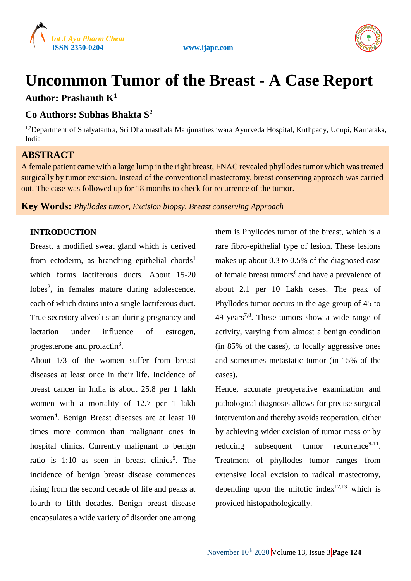



# **Uncommon Tumor of the Breast - A Case Report Author: Prashanth K<sup>1</sup>**

# **Co Authors: Subhas Bhakta S<sup>2</sup>**

<sup>1,2</sup>Department of Shalyatantra, Sri Dharmasthala Manjunatheshwara Ayurveda Hospital, Kuthpady, Udupi, Karnataka, India

# **ABSTRACT**

A female patient came with a large lump in the right breast, FNAC revealed phyllodes tumor which was treated surgically by tumor excision. Instead of the conventional mastectomy, breast conserving approach was carried out. The case was followed up for 18 months to check for recurrence of the tumor.

**Key Words:** *Phyllodes tumor, Excision biopsy, Breast conserving Approach*

## **INTRODUCTION**

Breast, a modified sweat gland which is derived from ectoderm, as branching epithelial chords<sup>1</sup> which forms lactiferous ducts. About 15-20 lobes<sup>2</sup>, in females mature during adolescence, each of which drains into a single lactiferous duct. True secretory alveoli start during pregnancy and lactation under influence of estrogen, progesterone and prolactin<sup>3</sup>.

About 1/3 of the women suffer from breast diseases at least once in their life. Incidence of breast cancer in India is about 25.8 per 1 lakh women with a mortality of 12.7 per 1 lakh women<sup>4</sup>. Benign Breast diseases are at least 10 times more common than malignant ones in hospital clinics. Currently malignant to benign ratio is  $1:10$  as seen in breast clinics<sup>5</sup>. The incidence of benign breast disease commences rising from the second decade of life and peaks at fourth to fifth decades. Benign breast disease encapsulates a wide variety of disorder one among

them is Phyllodes tumor of the breast, which is a rare fibro-epithelial type of lesion. These lesions makes up about 0.3 to 0.5% of the diagnosed case of female breast tumors<sup>6</sup> and have a prevalence of about 2.1 per 10 Lakh cases. The peak of Phyllodes tumor occurs in the age group of 45 to 49 years7,8. These tumors show a wide range of activity, varying from almost a benign condition (in 85% of the cases), to locally aggressive ones and sometimes metastatic tumor (in 15% of the cases).

Hence, accurate preoperative examination and pathological diagnosis allows for precise surgical intervention and thereby avoids reoperation, either by achieving wider excision of tumor mass or by reducing subsequent tumor recurrence<sup>9-11</sup>. Treatment of phyllodes tumor ranges from extensive local excision to radical mastectomy, depending upon the mitotic index<sup>12,13</sup> which is provided histopathologically.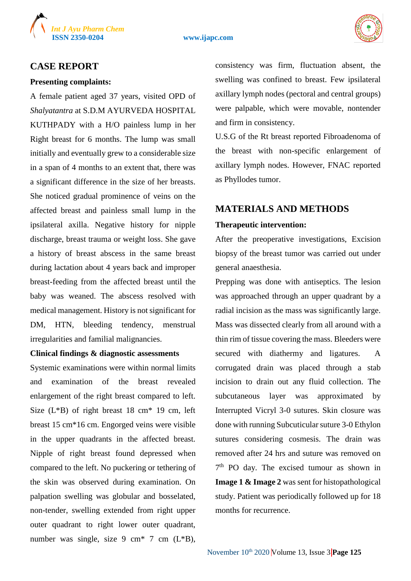

#### **ISSN 2350-0204 www.ijapc.com**



## **CASE REPORT**

#### **Presenting complaints:**

A female patient aged 37 years, visited OPD of *Shalyatantra* at S.D.M AYURVEDA HOSPITAL KUTHPADY with a H/O painless lump in her Right breast for 6 months. The lump was small initially and eventually grew to a considerable size in a span of 4 months to an extent that, there was a significant difference in the size of her breasts. She noticed gradual prominence of veins on the affected breast and painless small lump in the ipsilateral axilla. Negative history for nipple discharge, breast trauma or weight loss. She gave a history of breast abscess in the same breast during lactation about 4 years back and improper breast-feeding from the affected breast until the baby was weaned. The abscess resolved with medical management. History is not significant for DM, HTN, bleeding tendency, menstrual irregularities and familial malignancies.

### **Clinical findings & diagnostic assessments**

Systemic examinations were within normal limits and examination of the breast revealed enlargement of the right breast compared to left. Size  $(L*B)$  of right breast 18 cm<sup>\*</sup> 19 cm, left breast 15 cm\*16 cm. Engorged veins were visible in the upper quadrants in the affected breast. Nipple of right breast found depressed when compared to the left. No puckering or tethering of the skin was observed during examination. On palpation swelling was globular and bosselated, non-tender, swelling extended from right upper outer quadrant to right lower outer quadrant, number was single, size  $9 \text{ cm}^*$  7 cm  $(L*B)$ ,

consistency was firm, fluctuation absent, the swelling was confined to breast. Few ipsilateral axillary lymph nodes (pectoral and central groups) were palpable, which were movable, nontender and firm in consistency.

U.S.G of the Rt breast reported Fibroadenoma of the breast with non-specific enlargement of axillary lymph nodes. However, FNAC reported as Phyllodes tumor.

## **MATERIALS AND METHODS**

### **Therapeutic intervention:**

After the preoperative investigations, Excision biopsy of the breast tumor was carried out under general anaesthesia.

Prepping was done with antiseptics. The lesion was approached through an upper quadrant by a radial incision as the mass was significantly large. Mass was dissected clearly from all around with a thin rim of tissue covering the mass. Bleeders were secured with diathermy and ligatures. A corrugated drain was placed through a stab incision to drain out any fluid collection. The subcutaneous layer was approximated by Interrupted Vicryl 3-0 sutures. Skin closure was done with running Subcuticular suture 3-0 Ethylon sutures considering cosmesis. The drain was removed after 24 hrs and suture was removed on 7<sup>th</sup> PO day. The excised tumour as shown in **Image 1 & Image 2** was sent for histopathological study. Patient was periodically followed up for 18 months for recurrence.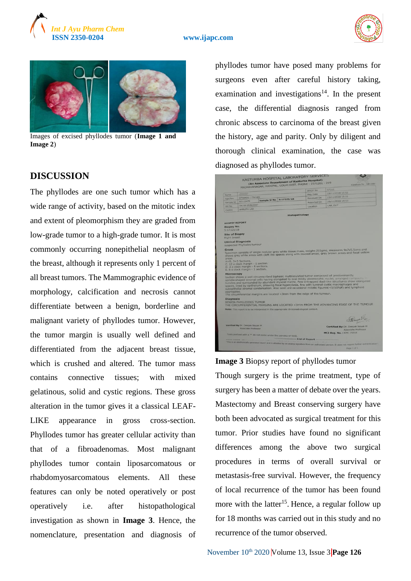

#### **ISSN 2350-0204 www.ijapc.com**





Images of excised phyllodes tumor (**Image 1 and Image 2**)

## **DISCUSSION**

The phyllodes are one such tumor which has a wide range of activity, based on the mitotic index and extent of pleomorphism they are graded from low-grade tumor to a high-grade tumor. It is most commonly occurring nonepithelial neoplasm of the breast, although it represents only 1 percent of all breast tumors. The Mammographic evidence of morphology, calcification and necrosis cannot differentiate between a benign, borderline and malignant variety of phyllodes tumor. However, the tumor margin is usually well defined and differentiated from the adjacent breast tissue, which is crushed and altered. The tumor mass contains connective tissues; with mixed gelatinous, solid and cystic regions. These gross alteration in the tumor gives it a classical LEAF-LIKE appearance in gross cross-section. Phyllodes tumor has greater cellular activity than that of a fibroadenomas. Most malignant phyllodes tumor contain liposarcomatous or rhabdomyosarcomatous elements. All these features can only be noted operatively or post operatively i.e. after histopathological investigation as shown in **Image 3**. Hence, the nomenclature, presentation and diagnosis of

phyllodes tumor have posed many problems for surgeons even after careful history taking, examination and investigations<sup>14</sup>. In the present case, the differential diagnosis ranged from chronic abscess to carcinoma of the breast given the history, age and parity. Only by diligent and thorough clinical examination, the case was diagnosed as phyllodes tumor.



## **Image 3** Biopsy report of phyllodes tumor

Though surgery is the prime treatment, type of surgery has been a matter of debate over the years. Mastectomy and Breast conserving surgery have both been advocated as surgical treatment for this tumor. Prior studies have found no significant differences among the above two surgical procedures in terms of overall survival or metastasis-free survival. However, the frequency of local recurrence of the tumor has been found more with the latter<sup>15</sup>. Hence, a regular follow up for 18 months was carried out in this study and no recurrence of the tumor observed.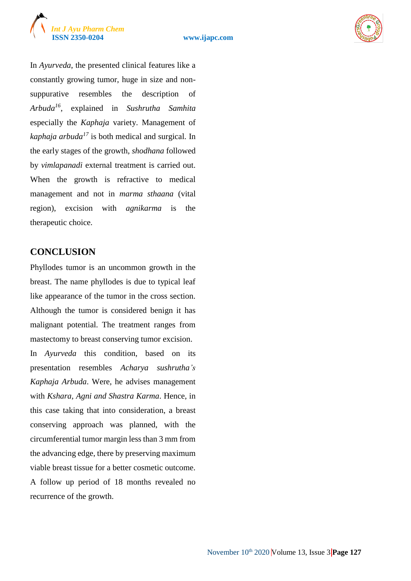



In *Ayurveda*, the presented clinical features like a constantly growing tumor, huge in size and nonsuppurative resembles the description of *Arbuda<sup>16</sup>*, explained in *Sushrutha Samhita* especially the *Kaphaja* variety. Management of *kaphaja arbuda<sup>17</sup>* is both medical and surgical. In the early stages of the growth, *shodhana* followed by *vimlapanadi* external treatment is carried out. When the growth is refractive to medical management and not in *marma sthaana* (vital region), excision with *agnikarma* is the therapeutic choice.

## **CONCLUSION**

Phyllodes tumor is an uncommon growth in the breast. The name phyllodes is due to typical leaf like appearance of the tumor in the cross section. Although the tumor is considered benign it has malignant potential. The treatment ranges from mastectomy to breast conserving tumor excision. In *Ayurveda* this condition, based on its presentation resembles *Acharya sushrutha's Kaphaja Arbuda*. Were, he advises management with *Kshara, Agni and Shastra Karma*. Hence, in this case taking that into consideration, a breast conserving approach was planned, with the circumferential tumor margin less than 3 mm from the advancing edge, there by preserving maximum viable breast tissue for a better cosmetic outcome. A follow up period of 18 months revealed no recurrence of the growth.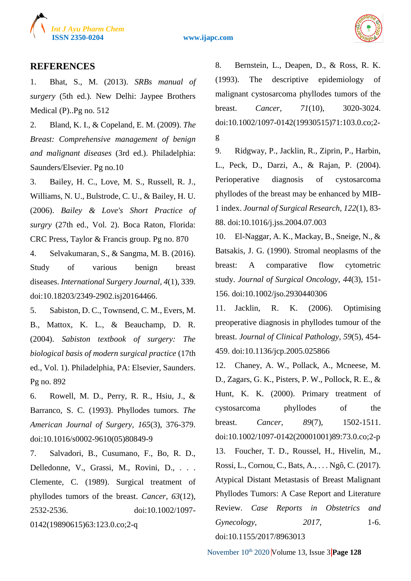

**ISSN 2350-0204 www.ijapc.com**



## **REFERENCES**

1. Bhat, S., M. (2013). *SRBs manual of surgery* (5th ed.). New Delhi: Jaypee Brothers Medical (P)..Pg no. 512

2. Bland, K. I., & Copeland, E. M. (2009). *The Breast: Comprehensive management of benign and malignant diseases* (3rd ed.). Philadelphia: Saunders/Elsevier. Pg no.10

3. Bailey, H. C., Love, M. S., Russell, R. J., Williams, N. U., Bulstrode, C. U., & Bailey, H. U. (2006). *Bailey & Love's Short Practice of surgry* (27th ed., Vol. 2). Boca Raton, Florida: CRC Press, Taylor & Francis group. Pg no. 870

4. Selvakumaran, S., & Sangma, M. B. (2016). Study of various benign breast diseases. *International Surgery Journal, 4*(1), 339. doi:10.18203/2349-2902.isj20164466.

5. Sabiston, D. C., Townsend, C. M., Evers, M. B., Mattox, K. L., & Beauchamp, D. R. (2004). *Sabiston textbook of surgery: The biological basis of modern surgical practice* (17th ed., Vol. 1). Philadelphia, PA: Elsevier, Saunders. Pg no. 892

6. Rowell, M. D., Perry, R. R., Hsiu, J., & Barranco, S. C. (1993). Phyllodes tumors. *The American Journal of Surgery, 165*(3), 376-379. doi:10.1016/s0002-9610(05)80849-9

7. Salvadori, B., Cusumano, F., Bo, R. D., Delledonne, V., Grassi, M., Rovini, D., . . . Clemente, C. (1989). Surgical treatment of phyllodes tumors of the breast. *Cancer, 63*(12), 2532-2536. doi:10.1002/1097- 0142(19890615)63:123.0.co;2-q

8. Bernstein, L., Deapen, D., & Ross, R. K. (1993). The descriptive epidemiology of malignant cystosarcoma phyllodes tumors of the breast. *Cancer, 71*(10), 3020-3024. doi:10.1002/1097-0142(19930515)71:103.0.co;2 g

9. Ridgway, P., Jacklin, R., Ziprin, P., Harbin, L., Peck, D., Darzi, A., & Rajan, P. (2004). Perioperative diagnosis of cystosarcoma phyllodes of the breast may be enhanced by MIB-1 index. *Journal of Surgical Research, 122*(1), 83- 88. doi:10.1016/j.jss.2004.07.003

10. El-Naggar, A. K., Mackay, B., Sneige, N., & Batsakis, J. G. (1990). Stromal neoplasms of the breast: A comparative flow cytometric study. *Journal of Surgical Oncology, 44*(3), 151- 156. doi:10.1002/jso.2930440306

11. Jacklin, R. K. (2006). Optimising preoperative diagnosis in phyllodes tumour of the breast. *Journal of Clinical Pathology, 59*(5), 454- 459. doi:10.1136/jcp.2005.025866

12. Chaney, A. W., Pollack, A., Mcneese, M. D., Zagars, G. K., Pisters, P. W., Pollock, R. E., & Hunt, K. K. (2000). Primary treatment of cystosarcoma phyllodes of the breast. *Cancer, 89*(7), 1502-1511. doi:10.1002/1097-0142(20001001)89:73.0.co;2-p 13. Foucher, T. D., Roussel, H., Hivelin, M., Rossi, L., Cornou, C., Bats, A., . . . Ngô, C. (2017). Atypical Distant Metastasis of Breast Malignant Phyllodes Tumors: A Case Report and Literature Review. *Case Reports in Obstetrics and Gynecology, 2017*, 1-6.

doi:10.1155/2017/8963013

November 10<sup>th</sup> 2020 Volume 13, Issue 3 **Page 128**